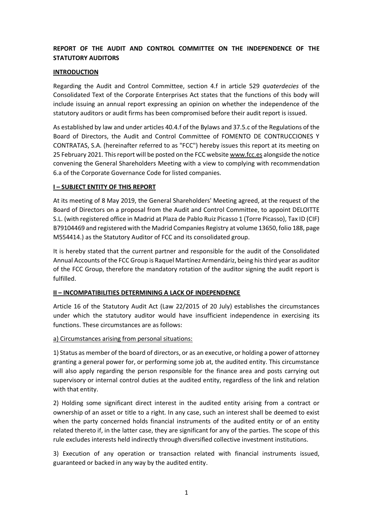# **REPORT OF THE AUDIT AND CONTROL COMMITTEE ON THE INDEPENDENCE OF THE STATUTORY AUDITORS**

### **INTRODUCTION**

Regarding the Audit and Control Committee, section 4.f in article 529 *quaterdecies* of the Consolidated Text of the Corporate Enterprises Act states that the functions of this body will include issuing an annual report expressing an opinion on whether the independence of the statutory auditors or audit firms has been compromised before their audit report is issued.

As established by law and under articles 40.4.f of the Bylaws and 37.5.c of the Regulations of the Board of Directors, the Audit and Control Committee of FOMENTO DE CONTRUCCIONES Y CONTRATAS, S.A. (hereinafter referred to as "FCC") hereby issues this report at its meeting on 25 February 2021. This report will be posted on the FCC websit[e www.fcc.es](http://www.fcc.es/) alongside the notice convening the General Shareholders Meeting with a view to complying with recommendation 6.a of the Corporate Governance Code for listed companies.

### **I – SUBJECT ENTITY OF THIS REPORT**

At its meeting of 8 May 2019, the General Shareholders' Meeting agreed, at the request of the Board of Directors on a proposal from the Audit and Control Committee, to appoint DELOITTE S.L. (with registered office in Madrid at Plaza de Pablo Ruiz Picasso 1 (Torre Picasso), Tax ID (CIF) B79104469 and registered with the Madrid Companies Registry at volume 13650, folio 188, page M554414.) as the Statutory Auditor of FCC and its consolidated group.

It is hereby stated that the current partner and responsible for the audit of the Consolidated Annual Accounts of the FCC Group is Raquel Martínez Armendáriz, being his third year as auditor of the FCC Group, therefore the mandatory rotation of the auditor signing the audit report is fulfilled.

#### **II – INCOMPATIBILITIES DETERMINING A LACK OF INDEPENDENCE**

Article 16 of the Statutory Audit Act (Law 22/2015 of 20 July) establishes the circumstances under which the statutory auditor would have insufficient independence in exercising its functions. These circumstances are as follows:

#### a) Circumstances arising from personal situations:

1) Status as member of the board of directors, or as an executive, or holding a power of attorney granting a general power for, or performing some job at, the audited entity. This circumstance will also apply regarding the person responsible for the finance area and posts carrying out supervisory or internal control duties at the audited entity, regardless of the link and relation with that entity.

2) Holding some significant direct interest in the audited entity arising from a contract or ownership of an asset or title to a right. In any case, such an interest shall be deemed to exist when the party concerned holds financial instruments of the audited entity or of an entity related thereto if, in the latter case, they are significant for any of the parties. The scope of this rule excludes interests held indirectly through diversified collective investment institutions.

3) Execution of any operation or transaction related with financial instruments issued, guaranteed or backed in any way by the audited entity.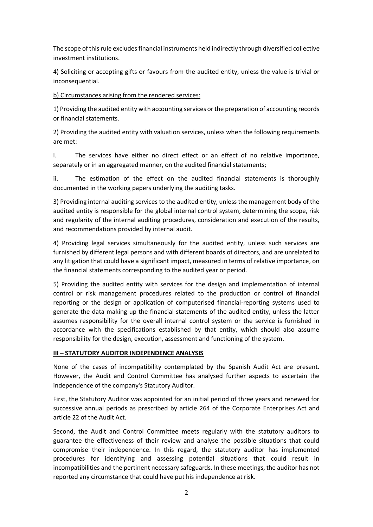The scope of this rule excludesfinancial instruments held indirectly through diversified collective investment institutions.

4) Soliciting or accepting gifts or favours from the audited entity, unless the value is trivial or inconsequential.

b) Circumstances arising from the rendered services:

1) Providing the audited entity with accounting services or the preparation of accounting records or financial statements.

2) Providing the audited entity with valuation services, unless when the following requirements are met:

i. The services have either no direct effect or an effect of no relative importance, separately or in an aggregated manner, on the audited financial statements;

ii. The estimation of the effect on the audited financial statements is thoroughly documented in the working papers underlying the auditing tasks.

3) Providing internal auditing services to the audited entity, unless the management body of the audited entity is responsible for the global internal control system, determining the scope, risk and regularity of the internal auditing procedures, consideration and execution of the results, and recommendations provided by internal audit.

4) Providing legal services simultaneously for the audited entity, unless such services are furnished by different legal persons and with different boards of directors, and are unrelated to any litigation that could have a significant impact, measured in terms of relative importance, on the financial statements corresponding to the audited year or period.

5) Providing the audited entity with services for the design and implementation of internal control or risk management procedures related to the production or control of financial reporting or the design or application of computerised financial-reporting systems used to generate the data making up the financial statements of the audited entity, unless the latter assumes responsibility for the overall internal control system or the service is furnished in accordance with the specifications established by that entity, which should also assume responsibility for the design, execution, assessment and functioning of the system.

## **III – STATUTORY AUDITOR INDEPENDENCE ANALYSIS**

None of the cases of incompatibility contemplated by the Spanish Audit Act are present. However, the Audit and Control Committee has analysed further aspects to ascertain the independence of the company's Statutory Auditor.

First, the Statutory Auditor was appointed for an initial period of three years and renewed for successive annual periods as prescribed by article 264 of the Corporate Enterprises Act and article 22 of the Audit Act.

Second, the Audit and Control Committee meets regularly with the statutory auditors to guarantee the effectiveness of their review and analyse the possible situations that could compromise their independence. In this regard, the statutory auditor has implemented procedures for identifying and assessing potential situations that could result in incompatibilities and the pertinent necessary safeguards. In these meetings, the auditor has not reported any circumstance that could have put his independence at risk.